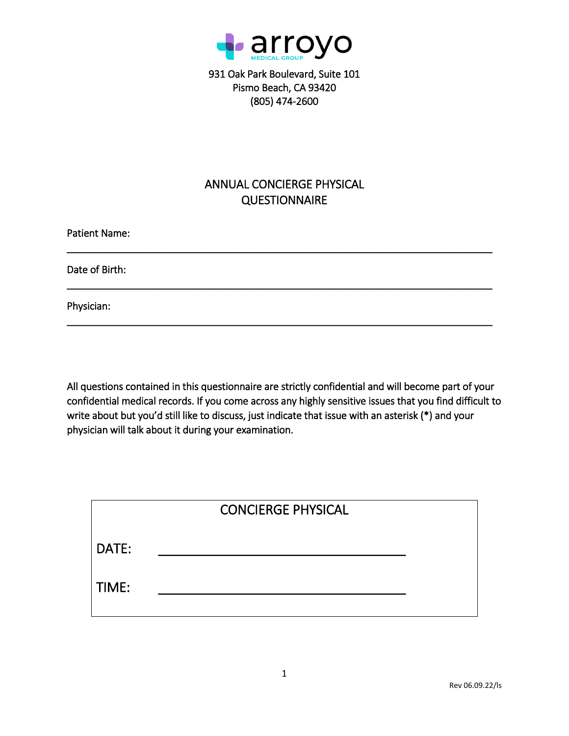

931 Oak Park Boulevard, Suite 101 Pismo Beach, CA 93420 (805) 474-2600

# ANNUAL CONCIERGE PHYSICAL **QUESTIONNAIRE**

\_\_\_\_\_\_\_\_\_\_\_\_\_\_\_\_\_\_\_\_\_\_\_\_\_\_\_\_\_\_\_\_\_\_\_\_\_\_\_\_\_\_\_\_\_\_\_\_\_\_\_\_\_\_\_\_\_\_\_\_\_\_\_\_\_\_\_\_\_\_\_\_\_\_\_\_\_\_

\_\_\_\_\_\_\_\_\_\_\_\_\_\_\_\_\_\_\_\_\_\_\_\_\_\_\_\_\_\_\_\_\_\_\_\_\_\_\_\_\_\_\_\_\_\_\_\_\_\_\_\_\_\_\_\_\_\_\_\_\_\_\_\_\_\_\_\_\_\_\_\_\_\_\_\_\_\_

\_\_\_\_\_\_\_\_\_\_\_\_\_\_\_\_\_\_\_\_\_\_\_\_\_\_\_\_\_\_\_\_\_\_\_\_\_\_\_\_\_\_\_\_\_\_\_\_\_\_\_\_\_\_\_\_\_\_\_\_\_\_\_\_\_\_\_\_\_\_\_\_\_\_\_\_\_\_

Patient Name:

Date of Birth:

Physician:

All questions contained in this questionnaire are strictly confidential and will become part of your confidential medical records. If you come across any highly sensitive issues that you find difficult to write about but you'd still like to discuss, just indicate that issue with an asterisk (\*) and your physician will talk about it during your examination.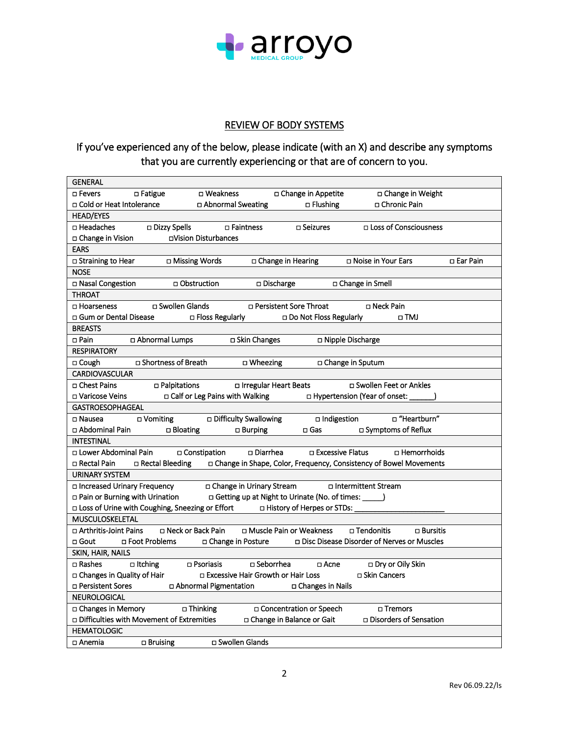

## REVIEW OF BODY SYSTEMS

# If you've experienced any of the below, please indicate (with an X) and describe any symptoms that you are currently experiencing or that are of concern to you.

| <b>GENERAL</b>                                                                 |                                                                     |
|--------------------------------------------------------------------------------|---------------------------------------------------------------------|
| □ Weakness<br>□ Fevers<br>□ Fatigue                                            | □ Change in Appetite<br>□ Change in Weight                          |
| □ Cold or Heat Intolerance<br>□ Abnormal Sweating                              | □ Chronic Pain<br>$\Box$ Flushing                                   |
| <b>HEAD/EYES</b>                                                               |                                                                     |
| □ Dizzy Spells<br>□ Headaches<br>□ Faintness                                   | □ Loss of Consciousness<br>□ Seizures                               |
| □Vision Disturbances<br>□ Change in Vision                                     |                                                                     |
| <b>EARS</b>                                                                    |                                                                     |
| □ Missing Words<br>□ Straining to Hear<br>□ Change in Hearing                  | □ Noise in Your Ears<br>□ Ear Pain                                  |
| <b>NOSE</b>                                                                    |                                                                     |
| □ Nasal Congestion<br>□ Obstruction<br>□ Discharge                             | □ Change in Smell                                                   |
| <b>THROAT</b>                                                                  |                                                                     |
| □ Swollen Glands<br>□ Hoarseness<br>□ Persistent Sore Throat                   | □ Neck Pain                                                         |
| □ Gum or Dental Disease<br>□ Floss Regularly                                   | □ Do Not Floss Regularly<br>⊔ TMJ                                   |
| <b>BREASTS</b>                                                                 |                                                                     |
| □ Pain<br>□ Skin Changes<br>□ Abnormal Lumps                                   | □ Nipple Discharge                                                  |
| <b>RESPIRATORY</b>                                                             |                                                                     |
| □ Shortness of Breath<br>□ Wheezing<br>□ Cough                                 | □ Change in Sputum                                                  |
| <b>CARDIOVASCULAR</b>                                                          |                                                                     |
| □ Chest Pains<br>$\Box$ Palpitations<br>□ Irregular Heart Beats                | □ Swollen Feet or Ankles                                            |
| □ Varicose Veins<br>□ Calf or Leg Pains with Walking                           | □ Hypertension (Year of onset: _____                                |
| <b>GASTROESOPHAGEAL</b>                                                        |                                                                     |
| □ Difficulty Swallowing<br>□ Nausea<br>□ Vomiting                              | Heartburn"<br>$\Box$ Indigestion                                    |
| □ Abdominal Pain<br>$\Box$ Bloating<br>$\Box$ Burping                          | □ Symptoms of Reflux<br>$\square$ Gas                               |
| <b>INTESTINAL</b>                                                              |                                                                     |
| □ Lower Abdominal Pain □ Constipation<br>□ Diarrhea                            | □ Excessive Flatus<br>□ Hemorrhoids                                 |
| □ Rectal Bleeding<br>□ Rectal Pain                                             | □ Change in Shape, Color, Frequency, Consistency of Bowel Movements |
| <b>URINARY SYSTEM</b>                                                          |                                                                     |
| □ Increased Urinary Frequency<br>n Change in Urinary Stream                    | □ Intermittent Stream                                               |
| □ Pain or Burning with Urination                                               | □ Getting up at Night to Urinate (No. of times: _____)              |
| □ Loss of Urine with Coughing, Sneezing or Effort □ History of Herpes or STDs: |                                                                     |
| MUSCULOSKELETAL                                                                |                                                                     |
| □ Arthritis-Joint Pains<br>□ Neck or Back Pain<br>□ Muscle Pain or Weakness    | □ Tendonitis<br>$\Box$ Bursitis                                     |
| □ Foot Problems<br>□ Gout<br>□ Change in Posture                               | □ Disc Disease Disorder of Nerves or Muscles                        |
| SKIN, HAIR, NAILS                                                              |                                                                     |
| □ Rashes □ Itching<br>□ Seborrhea<br>$\square$ Psoriasis                       | □ Dry or Oily Skin<br>□ Acne                                        |
| □ Changes in Quality of Hair<br>□ Excessive Hair Growth or Hair Loss           | □ Skin Cancers                                                      |
| □ Persistent Sores<br>□ Abnormal Pigmentation                                  | □ Changes in Nails                                                  |
| NEUROLOGICAL                                                                   |                                                                     |
| □ Thinking<br>□ Changes in Memory                                              | □ Concentration or Speech<br>□ Tremors                              |
| □ Difficulties with Movement of Extremities<br>□ Change in Balance or Gait     | □ Disorders of Sensation                                            |
| <b>HEMATOLOGIC</b>                                                             |                                                                     |
| □ Swollen Glands<br>$\Box$ Bruising<br>□ Anemia                                |                                                                     |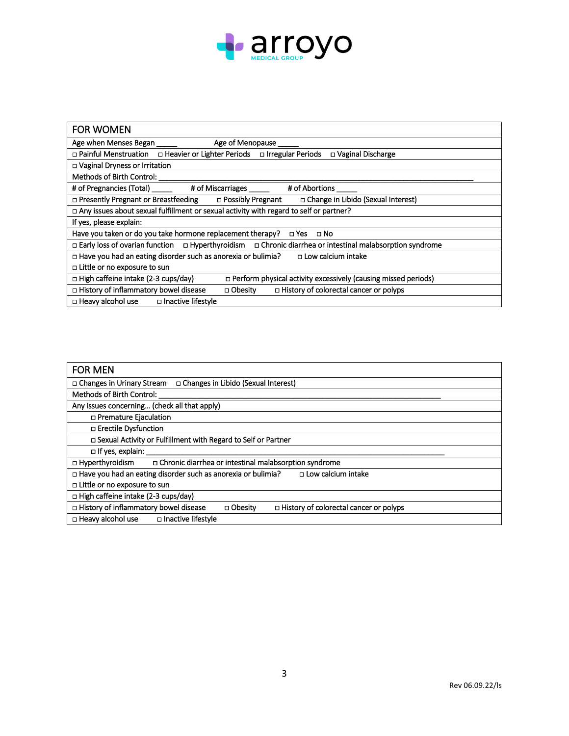

| <b>FOR WOMEN</b>                                                                                                    |
|---------------------------------------------------------------------------------------------------------------------|
| Age when Menses Began ______<br>Age of Menopause                                                                    |
| □ Painful Menstruation □ Heavier or Lighter Periods □ Irregular Periods<br>D Vaginal Discharge                      |
| □ Vaginal Dryness or Irritation                                                                                     |
| Methods of Birth Control: _____                                                                                     |
| # of Pregnancies (Total) ______ # of Miscarriages ______<br># of Abortions _____                                    |
| □ Presently Pregnant or Breastfeeding □ Possibly Pregnant □ Change in Libido (Sexual Interest)                      |
| $\Box$ Any issues about sexual fulfillment or sexual activity with regard to self or partner?                       |
| If yes, please explain:                                                                                             |
| Have you taken or do you take hormone replacement therapy?  □ Yes □ No                                              |
| □ Early loss of ovarian function □ Hyperthyroidism □ Chronic diarrhea or intestinal malabsorption syndrome          |
| $\Box$ Have you had an eating disorder such as anorexia or bulimia? $\Box$ Low calcium intake                       |
| □ Little or no exposure to sun                                                                                      |
| $\Box$ High caffeine intake (2-3 cups/day)<br>$\Box$ Perform physical activity excessively (causing missed periods) |
| □ History of colorectal cancer or polyps<br>□ History of inflammatory bowel disease<br>□ Obesity                    |
| □ Heavy alcohol use □ Inactive lifestyle                                                                            |

| <b>FOR MEN</b>                                                                                        |
|-------------------------------------------------------------------------------------------------------|
| □ Changes in Urinary Stream<br>□ Changes in Libido (Sexual Interest)                                  |
| <b>Methods of Birth Control:</b>                                                                      |
| Any issues concerning (check all that apply)                                                          |
| □ Premature Ejaculation                                                                               |
| □ Erectile Dysfunction                                                                                |
| □ Sexual Activity or Fulfillment with Regard to Self or Partner                                       |
| $\Box$ If yes, explain:                                                                               |
| □ Hyperthyroidism<br>□ Chronic diarrhea or intestinal malabsorption syndrome                          |
| $\Box$ Have you had an eating disorder such as anorexia or bulimia?<br>□ Low calcium intake           |
| □ Little or no exposure to sun                                                                        |
| □ High caffeine intake (2-3 cups/day)                                                                 |
| □ History of inflammatory bowel disease<br>□ Obesity<br>$\Box$ History of colorectal cancer or polyps |
| □ Heavy alcohol use<br>□ Inactive lifestyle                                                           |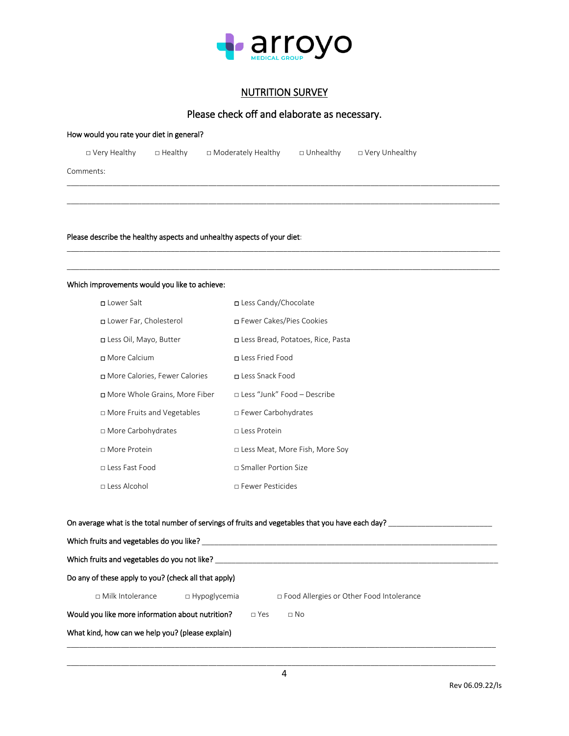

#### NUTRITION SURVEY

## Please check off and elaborate as necessary.

\_\_\_\_\_\_\_\_\_\_\_\_\_\_\_\_\_\_\_\_\_\_\_\_\_\_\_\_\_\_\_\_\_\_\_\_\_\_\_\_\_\_\_\_\_\_\_\_\_\_\_\_\_\_\_\_\_\_\_\_\_\_\_\_\_\_\_\_\_\_\_\_\_\_\_\_\_\_\_\_\_\_\_\_\_\_\_\_\_\_\_\_\_\_\_\_\_\_\_\_\_\_\_\_ \_\_\_\_\_\_\_\_\_\_\_\_\_\_\_\_\_\_\_\_\_\_\_\_\_\_\_\_\_\_\_\_\_\_\_\_\_\_\_\_\_\_\_\_\_\_\_\_\_\_\_\_\_\_\_\_\_\_\_\_\_\_\_\_\_\_\_\_\_\_\_\_\_\_\_\_\_\_\_\_\_\_\_\_\_\_\_\_\_\_\_\_\_\_\_\_\_\_\_\_\_\_\_\_

| How would you rate your diet in general? |                |                |                      |             |                  |  |  |
|------------------------------------------|----------------|----------------|----------------------|-------------|------------------|--|--|
|                                          | □ Very Healthy | $\Box$ Healthy | □ Moderately Healthy | □ Unhealthy | □ Very Unhealthy |  |  |
| Comments:                                |                |                |                      |             |                  |  |  |
|                                          |                |                |                      |             |                  |  |  |
|                                          |                |                |                      |             |                  |  |  |

Please describe the healthy aspects and unhealthy aspects of your diet:

#### Which improvements would you like to achieve:

| □ Lower Salt                    | □ Less Candy/Chocolate              |
|---------------------------------|-------------------------------------|
| Lower Far, Cholesterol          | □ Fewer Cakes/Pies Cookies          |
| □ Less Oil, Mayo, Butter        | □ Less Bread, Potatoes, Rice, Pasta |
| n More Calcium                  | □ Less Fried Food                   |
| □ More Calories, Fewer Calories | n Less Snack Food                   |
| □ More Whole Grains, More Fiber | $\Box$ Less "Junk" Food – Describe  |
| □ More Fruits and Vegetables    | □ Fewer Carbohydrates               |
| □ More Carbohydrates            | $\sqcap$ Less Protein               |
| $\sqcap$ More Protein           | □ Less Meat, More Fish, More Soy    |
| n Less Fast Food                | $\sqcap$ Smaller Portion Size       |
| $\sqcap$ Less Alcohol           | $\Box$ Fewer Pesticides             |

## On average what is the total number of servings of fruits and vegetables that you have each day? \_\_\_\_\_\_\_\_\_\_\_\_\_\_\_\_\_\_\_\_\_\_\_\_\_

|                                                  | Which fruits and vegetables do you like?             |                     |            |                                            |  |  |  |  |
|--------------------------------------------------|------------------------------------------------------|---------------------|------------|--------------------------------------------|--|--|--|--|
| Which fruits and vegetables do you not like?     |                                                      |                     |            |                                            |  |  |  |  |
|                                                  | Do any of these apply to you? (check all that apply) |                     |            |                                            |  |  |  |  |
|                                                  | $\Box$ Milk Intolerance                              | $\Box$ Hypoglycemia |            | □ Food Allergies or Other Food Intolerance |  |  |  |  |
| Would you like more information about nutrition? |                                                      |                     | $\Box$ Yes | $\Box$ No                                  |  |  |  |  |
|                                                  | What kind, how can we help you? (please explain)     |                     |            |                                            |  |  |  |  |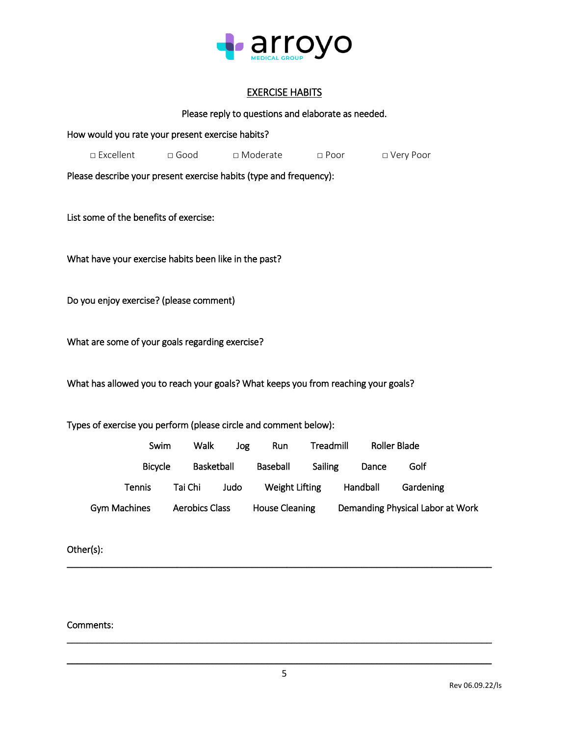

## EXERCISE HABITS

## Please reply to questions and elaborate as needed.

| How would you rate your present exercise habits?                                   |                |                       |            |                       |             |                     |                                  |
|------------------------------------------------------------------------------------|----------------|-----------------------|------------|-----------------------|-------------|---------------------|----------------------------------|
| □ Excellent                                                                        |                | $\square$ Good        | □ Moderate |                       | $\Box$ Poor |                     | □ Very Poor                      |
| Please describe your present exercise habits (type and frequency):                 |                |                       |            |                       |             |                     |                                  |
|                                                                                    |                |                       |            |                       |             |                     |                                  |
| List some of the benefits of exercise:                                             |                |                       |            |                       |             |                     |                                  |
|                                                                                    |                |                       |            |                       |             |                     |                                  |
| What have your exercise habits been like in the past?                              |                |                       |            |                       |             |                     |                                  |
|                                                                                    |                |                       |            |                       |             |                     |                                  |
| Do you enjoy exercise? (please comment)                                            |                |                       |            |                       |             |                     |                                  |
|                                                                                    |                |                       |            |                       |             |                     |                                  |
| What are some of your goals regarding exercise?                                    |                |                       |            |                       |             |                     |                                  |
|                                                                                    |                |                       |            |                       |             |                     |                                  |
| What has allowed you to reach your goals? What keeps you from reaching your goals? |                |                       |            |                       |             |                     |                                  |
|                                                                                    |                |                       |            |                       |             |                     |                                  |
| Types of exercise you perform (please circle and comment below):                   |                |                       |            |                       |             |                     |                                  |
|                                                                                    | Swim           | Walk                  | Jog        | Run                   | Treadmill   | <b>Roller Blade</b> |                                  |
|                                                                                    | <b>Bicycle</b> | Basketball            |            | Baseball              | Sailing     | Dance               | Golf                             |
|                                                                                    | <b>Tennis</b>  | Tai Chi               | Judo       | Weight Lifting        |             | Handball            | Gardening                        |
| <b>Gym Machines</b>                                                                |                | <b>Aerobics Class</b> |            | <b>House Cleaning</b> |             |                     | Demanding Physical Labor at Work |

Other(s):

Comments:

\_\_\_\_\_\_\_\_\_\_\_\_\_\_\_\_\_\_\_\_\_\_\_\_\_\_\_\_\_\_\_\_\_\_\_\_\_\_\_\_\_\_\_\_\_\_\_\_\_\_\_\_\_\_\_\_\_\_\_\_\_\_\_\_\_\_\_\_\_\_\_\_\_\_\_\_\_\_\_\_\_\_\_\_\_

\_\_\_\_\_\_\_\_\_\_\_\_\_\_\_\_\_\_\_\_\_\_\_\_\_\_\_\_\_\_\_\_\_\_\_\_\_\_\_\_\_\_\_\_\_\_\_\_\_\_\_\_\_\_\_\_\_\_\_\_\_\_\_\_\_\_\_\_\_\_\_\_\_\_\_\_\_\_\_\_\_\_\_\_\_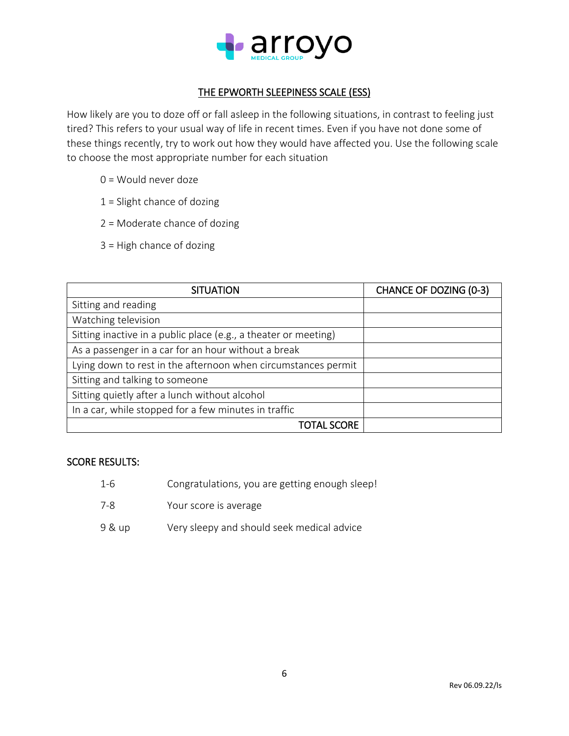

## THE EPWORTH SLEEPINESS SCALE (ESS)

How likely are you to doze off or fall asleep in the following situations, in contrast to feeling just tired? This refers to your usual way of life in recent times. Even if you have not done some of these things recently, try to work out how they would have affected you. Use the following scale to choose the most appropriate number for each situation

- 0 = Would never doze
- 1 = Slight chance of dozing
- 2 = Moderate chance of dozing
- 3 = High chance of dozing

| <b>SITUATION</b>                                                | <b>CHANCE OF DOZING (0-3)</b> |
|-----------------------------------------------------------------|-------------------------------|
| Sitting and reading                                             |                               |
| Watching television                                             |                               |
| Sitting inactive in a public place (e.g., a theater or meeting) |                               |
| As a passenger in a car for an hour without a break             |                               |
| Lying down to rest in the afternoon when circumstances permit   |                               |
| Sitting and talking to someone                                  |                               |
| Sitting quietly after a lunch without alcohol                   |                               |
| In a car, while stopped for a few minutes in traffic            |                               |
| TOTAL SCORE                                                     |                               |

#### SCORE RESULTS:

- 1-6 Congratulations, you are getting enough sleep!
- 7-8 Your score is average
- 9 & up Very sleepy and should seek medical advice